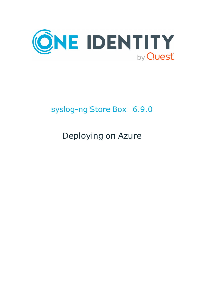

# syslog-ng Store Box 6.9.0

# Deploying on Azure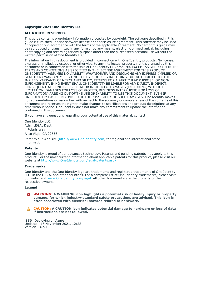#### **Copyright 2021 One Identity LLC.**

#### **ALL RIGHTS RESERVED.**

This guide contains proprietary information protected by copyright. The software described in this guide is furnished under a software license or nondisclosure agreement. This software may be used or copied only in accordance with the terms of the applicable agreement. No part of this guide may be reproduced or transmitted in any form or by any means, electronic or mechanical, including photocopying and recording for any purpose other than the purchaser's personal use without the written permission of One Identity LLC .

The information in this document is provided in connection with One Identity products. No license, express or implied, by estoppel or otherwise, to any intellectual property right is granted by this document or in connection with the sale of One Identity LLC products. EXCEPT AS SET FORTH IN THE TERMS AND CONDITIONS AS SPECIFIED IN THE LICENSE AGREEMENT FOR THIS PRODUCT, ONE IDENTITY ASSUMES NO LIABILITY WHATSOEVER AND DISCLAIMS ANY EXPRESS, IMPLIED OR STATUTORY WARRANTY RELATING TO ITS PRODUCTS INCLUDING, BUT NOT LIMITED TO, THE IMPLIED WARRANTY OF MERCHANTABILITY, FITNESS FOR A PARTICULAR PURPOSE, OR NON-INFRINGEMENT. IN NO EVENT SHALL ONE IDENTITY BE LIABLE FOR ANY DIRECT, INDIRECT, CONSEQUENTIAL, PUNITIVE, SPECIAL OR INCIDENTAL DAMAGES (INCLUDING, WITHOUT LIMITATION, DAMAGES FOR LOSS OF PROFITS, BUSINESS INTERRUPTION OR LOSS OF INFORMATION) ARISING OUT OF THE USE OR INABILITY TO USE THIS DOCUMENT, EVEN IF ONE IDENTITY HAS BEEN ADVISED OF THE POSSIBILITY OF SUCH DAMAGES. One Identity makes no representations or warranties with respect to the accuracy or completeness of the contents of this document and reserves the right to make changes to specifications and product descriptions at any time without notice. One Identity does not make any commitment to update the information contained in this document.

If you have any questions regarding your potential use of this material, contact:

One Identity LLC. Attn: LEGAL Dept 4 Polaris Way Aliso Viejo, CA 92656

Refer to our Web site [\(http://www.OneIdentity.com](http://www.oneidentity.com/)) for regional and international office information.

#### **Patents**

One Identity is proud of our advanced technology. Patents and pending patents may apply to this product. For the most current information about applicable patents for this product, please visit our website at [http://www.OneIdentity.com/legal/patents.aspx.](http://www.oneidentity.com/legal/patents.aspx)

#### **Trademarks**

One Identity and the One Identity logo are trademarks and registered trademarks of One Identity LLC. in the U.S.A. and other countries. For a complete list of One Identity trademarks, please visit our website at [www.OneIdentity.com/legal](http://www.oneidentity.com/legal). All other trademarks are the property of their respective owners.

#### **Legend**

**WARNING: A WARNING icon highlights a potential risk of bodily injury or property** œ **damage, for which industry-standard safety precautions are advised. This icon is often associated with electrical hazards related to hardware.**

**CAUTION: A CAUTION icon indicates potential damage to hardware or loss of data if instructions are not followed.**

SSB Deploying on Azure Updated - 15 November 2021, 12:28 Version - 6.9.0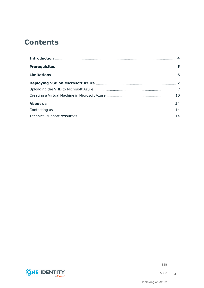### **Contents**



SSB

**3**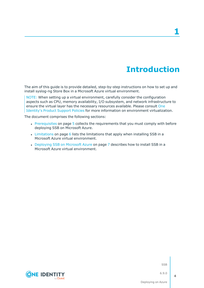## **Introduction**

<span id="page-3-0"></span>The aim of this guide is to provide detailed, step-by-step instructions on how to set up and install syslog-ng Store Box in a Microsoft Azure virtual environment.

NOTE: When setting up a virtual environment, carefully consider the configuration aspects such as CPU, memory availability, I/O subsystem, and network infrastructure to ensure the virtual layer has the necessary resources available. Please consult [One](https://support.oneidentity.com/essentials/support-guide#tab3) [Identity's](https://support.oneidentity.com/essentials/support-guide#tab3) Product Support Policies for more information on environment virtualization.

The document comprises the following sections:

- [Prerequisites](#page-4-0) on page 5 collects the requirements that you must comply with before deploying SSB on Microsoft Azure.
- [Limitations](#page-5-0) on page 6 lists the limitations that apply when installing SSB in a Microsoft Azure virtual environment.
- [Deploying](#page-6-0) SSB on Microsoft Azure on page 7 describes how to install SSB in a Microsoft Azure virtual environment.

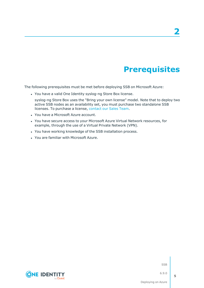## **Prerequisites**

<span id="page-4-0"></span>The following prerequisites must be met before deploying SSB on Microsoft Azure:

- You have a valid One Identity syslog-ng Store Box license.
- syslog-ng Store Box uses the "Bring your own license" model. Note that to deploy two active SSB nodes as an availability set, you must purchase two standalone SSB licenses. To purchase a license, [contact](https://www.syslog-ng.com/buy/) our Sales Team.
- You have a Microsoft Azure account.
- You have secure access to your Microsoft Azure Virtual Network resources, for example, through the use of a Virtual Private Network (VPN).
- You have working knowledge of the SSB installation process.
- You are familiar with Microsoft Azure.

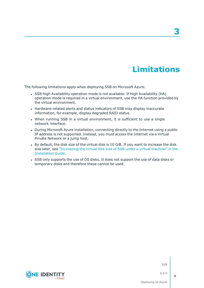### **Limitations**

**3**

<span id="page-5-0"></span>The following limitations apply when deploying SSB on Microsoft Azure:

- SSB High Availability operation mode is not available. If High Availability (HA) operation mode is required in a virtual environment, use the HA function provided by the virtual environment.
- Hardware-related alerts and status indicators of SSB may display inaccurate information, for example, display degraded RAID status.
- When running SSB in a virtual environment, it is sufficient to use a single network interface.
- During Microsoft Azure installation, connecting directly to the Internet using a public IP address is not supported. Instead, you must access the Internet via a Virtual Private Network or a jump host.
- By default, the disk size of the virtual disk is 10 GiB. If you want to increase the disk size later, see ["Increasing](https://support.oneidentity.com/technical-documents/syslog-ng-store-box/6.9.0/installation-guide/) the virtual disk size of SSB under a virtual machine" in the [Installation](https://support.oneidentity.com/technical-documents/syslog-ng-store-box/6.9.0/installation-guide/) Guide.
- SSB only supports the use of OS disks. It does not support the use of data disks or temporary disks and therefore these cannot be used.

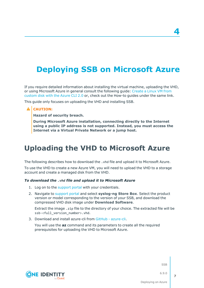# <span id="page-6-0"></span>**Deploying SSB on Microsoft Azure**

If you require detailed information about installing the virtual machine, uploading the VHD, or using Microsoft Azure in general consult the following guide: [Create](https://docs.microsoft.com/en-us/azure/virtual-machines/linux/upload-vhd) a Linux VM from [custom](https://docs.microsoft.com/en-us/azure/virtual-machines/linux/upload-vhd) disk with the Azure CLI 2.0 or, check out the How-to guides under the same link.

This guide only focuses on uploading the VHD and installing SSB.

#### **A** CAUTION:

**Hazard of security breach.**

**During Microsoft Azure installation, connecting directly to the Internet using a public IP address is not supported. Instead, you must access the Internet via a Virtual Private Network or a jump host.**

### <span id="page-6-1"></span>**Uploading the VHD to Microsoft Azure**

The following describes how to download the .vhd file and upload it to Microsoft Azure.

To use the VHD to create a new Azure VM, you will need to upload the VHD to a storage account and create a managed disk from the VHD.

#### *To download the .vhd file and upload it to Microsoft Azure*

- 1. Log on to the [support](https://support.oneidentity.com/en-US/Login) portal with your credentials.
- 2. Navigate to [support](https://support.oneidentity.com/en-US/Login) portal and select **syslog-ng Store Box**. Select the product version or model corresponding to the version of your SSB, and download the compressed VHD disk image under **Download Software**.

Extract the image .zip file to the directory of your choice. The extracted file will be ssb-<full\_version\_number>.vhd.

3. Download and install azure-cli from GitHub - [azure-cli.](https://github.com/Azure/azure-cli)

You will use the **az** command and its parameters to create all the required prerequisites for uploading the VHD to Microsoft Azure.



SSB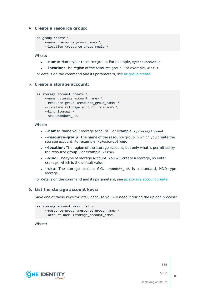#### 4. **Create a resource group:**

```
az group create \
 --name <resource_group_name> \
 --location <resource group region>
```
Where:

- **.** --name: Name your resource group. For example, MyResourceGroup.
- **.** --location: The region of the resource group. For example, westus.

For details on the command and its parameters, see az group [create.](https://docs.microsoft.com/en-us/cli/azure/group?view=azure-cli-latest#az_group_create)

#### 5. **Create a storage account:**

```
az storage account create \
--name <storage account name> \
--resource-group <resource group name> \
 --location <storage account location> \
 --kind Storage \
 --sku Standard_LRS
```
Where:

- **--name**: Name your storage account. For example, myStorageAccount.
- **.** --resource-group: The name of the resource group in which you create the storage account. For example, MyResourceGroup.
- **--location**: The region of the storage account, but only what is permitted by the resource group. For example, westus.
- **--kind**: The type of storage account. You will create a storage, so enter Storage, which is the default value.
- **.** -- **sku**: The storage account SKU. Standard LRS is a standard, HDD-type storage.

For details on the command and its parameters, see az storage [account](https://docs.microsoft.com/en-us/cli/azure/storage/account?view=azure-cli-latest#az_storage_account_create) create.

#### 6. **List the storage account keys:**

Save one of these keys for later, because you will need it during the upload process:

```
az storage account keys list \
 --resource-group <resource_group_name> \
 --account-name <storage_account_name>
```
Where:



SSB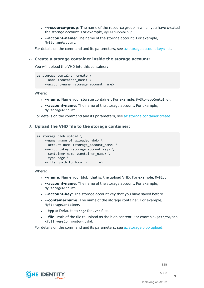- **--resource-group**: The name of the resource group in which you have created the storage account. For example, myResourceGroup.
- **--account-name**: The name of the storage account. For example, MyStorageAccount.

For details on the command and its parameters, see az storage [account](https://docs.microsoft.com/en-us/cli/azure/storage/account/keys?view=azure-cli-latest#az_storage_account_keys_list) keys list.

#### 7. **Create a storage container inside the storage account:**

You will upload the VHD into this container:

```
az storage container create \
--name <container name> \
 --account-name <storage account name>
```
Where:

- **--name**: Name your storage container. For example, MyStorageContainer.
- **--account-name**: The name of the storage account. For example, MyStorageAccount.

For details on the command and its parameters, see az storage [container](https://docs.microsoft.com/en-us/cli/azure/storage/container?view=azure-cli-latest#az_storage_container_create) create.

#### 8. **Upload the VHD file to the storage container:**

```
az storage blob upload \
--name <name of uploaded vhd> \setminus--account-name <storage_account_name> \
 --account-key <storage_account_key> \
 --container-name <container_name> \
 --type page \
 --file <path_to_local_vhd_file>
```
Where:

- **--name**: Name your blob, that is, the upload VHD. For example, MyBlob.
- **--account-name**: The name of the storage account. For example, MyStorageAccount.
- **--account-key**: The storage account key that you have saved before.
- **--containername**: The name of the storage container. For example, MyStorageContainer.
- **.** --type: Defaults to page for . vhd files.
- <sup>l</sup> **--file**: Path of the file to upload as the blob content. For example, path/to/ssb- <full\_version\_number>.vhd.

For details on the command and its parameters, see az [storage](https://docs.microsoft.com/en-us/cli/azure/storage/blob?view=azure-cli-latest#az_storage_blob_upload) blob upload.



SSB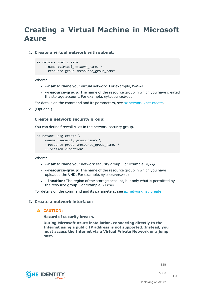### <span id="page-9-0"></span>**Creating a Virtual Machine in Microsoft Azure**

1. **Create a virtual network with subnet:**

```
az network vnet create
```
- --name <virtual network\_name> \
- --resource-group <resource\_group\_name>

Where:

- **.** --name: Name your virtual network. For example, MyVnet.
- **--resource-group**: The name of the resource group in which you have created the storage account. For example, myResourceGroup.

For details on the command and its parameters, see az [network](https://docs.microsoft.com/en-us/cli/azure/network/vnet?view=azure-cli-latest#az_network_vnet_create) vnet create.

2. (Optional)

#### **Create a network security group:**

You can define firewall rules in the network security group.

```
az network nsg create \
 --name <security_group_name> \
 --resource-group <resource group name> \
 --location <location>
```
Where:

- **--name**: Name your network security group. For example, MyNsg.
- **.** --resource-group: The name of the resource group in which you have uploaded the VHD. For example, MyResourceGroup.
- <sup>l</sup> **--location**: The region of the storage account, but only what is permitted by the resource group. For example, westus.

For details on the command and its parameters, see az [network](https://docs.microsoft.com/en-us/cli/azure/network/nsg?view=azure-cli-latest#az_network_nsg_create) nsg create.

#### 3. **Create a network interface:**

#### **A** CAUTION:

**Hazard of security breach.**

**During Microsoft Azure installation, connecting directly to the Internet using a public IP address is not supported. Instead, you must access the Internet via a Virtual Private Network or a jump host.**



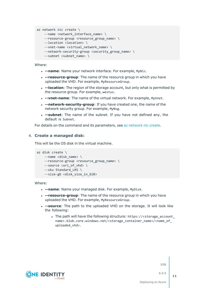```
az network nic create \
```

```
--name <network interface name> \
```

```
--resource-group <resource group name> \
```

```
--location <location> \
```

```
--vnet-name <virtual network name> \
```

```
--network-security-group <security group name> \
```

```
--subnet <subnet name> \
```
Where:

- **--name**: Name your network interface. For example, MyNic.
- **--resource-group**: The name of the resource group in which you have uploaded the VHD. For example, MyResourceGroup.
- **--location**: The region of the storage account, but only what is permitted by the resource group. For example, westus.
- **.** --vnet-name: The name of the virtual network. For example, MyVnet.
- **.** --network-security-group: If you have created one, the name of the network security group. For example, MyNsg.
- **.** --subnet: The name of the subnet. If you have not defined any, the default is Subnet.

For details on the command and its parameters, see az [network](https://docs.microsoft.com/en-us/cli/azure/network/nic?view=azure-cli-latest#az_network_nic_create) nic create.

#### 4. **Create a managed disk:**

This will be the OS disk in the virtual machine.

```
az disk create \
--name <disk_name> \
--resource-group <resource_group_name> \
--source <uri_of_vhd> \
 --sku Standard_LRS \
 --size-gb <disk_size_in_GiB>
```
Where:

- **.** --name: Name your managed disk. For example, MyDisk.
- **- --resource-group**: The name of the resource group in which you have uploaded the VHD. For example, MyResourceGroup.
- **.** --source: The path to the uploaded VHD on the storage. It will look like the following:
	- . The path will have the following structure: https://<storage\_account\_ name>.blob.core.windows.net/<storage\_container\_name>/<name\_of\_ uploaded\_vhd>.

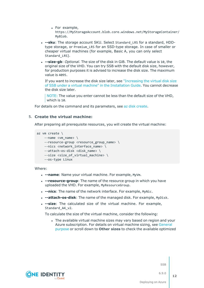- For example, https://MyStorageAccount.blob.core.windows.net/MyStorageContainer/ MyBlob.
- **.** -- sku: The storage account SKU. Select Standard\_LRS for a standard, HDDtype storage, or Premium\_LRS for an SSD-type storage. In case of smaller or cheaper virtual machines (for example, Basic A, you can only select Standard LRS).
- <sup>l</sup> **--size-gb**: *Optional*. The size of the disk in GiB. The default value is 10, the original size of the VHD. You can try SSB with the default disk size, however, for production purposes it is advised to increase the disk size. The maximum value is 4095.

If you want to increase the disk size later, see ["Increasing](https://support.oneidentity.com/technical-documents/syslog-ng-store-box/6.9.0/installation-guide/) the virtual disk size of SSB under a virtual machine" in the [Installation](https://support.oneidentity.com/technical-documents/syslog-ng-store-box/6.9.0/installation-guide/) Guide. You cannot decrease the disk size later.

NOTE: The value you enter cannot be less than the default size of the VHD, which is 10.

For details on the command and its parameters, see az disk [create.](https://docs.microsoft.com/en-us/cli/azure/disk?view=azure-cli-latest#az_disk_create)

#### 5. **Create the virtual machine:**

After preparing all prerequisite resources, you will create the virtual machine:

```
az vm create \
 --name <vm name> \
 --resource-group <resource_group_name> \
--nics <network_interface_name> \
 --attach-os-disk <disk name> \
 --size <size_of_virtual_machine> \
 --os-type Linux
```
Where:

- **.** --name: Name your virtual machine. For example, MyVm.
- **.** --resource-group: The name of the resource group in which you have uploaded the VHD. For example, MyResourceGroup.
- **.** --nics: The name of the network interface. For example, MyNic.
- <sup>l</sup> **--attach-os-disk**: The name of the managed disk. For example, MyDisk.
- **--size**: The calculated size of the virtual machine. For example, Standard A4 v2.

To calculate the size of the virtual machine, consider the following:

• The available virtual machine sizes may vary based on region and your Azure subscription. For details on virtual machine sizing, see [General](https://docs.microsoft.com/en-us/azure/virtual-machines/windows/sizes-general) [purpose](https://docs.microsoft.com/en-us/azure/virtual-machines/windows/sizes-general) or scroll down to **Other sizes** to check the available optimized

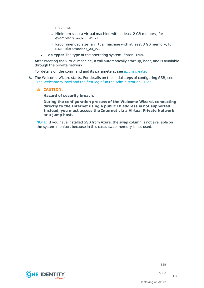machines.

- Minimum size: a virtual machine with at least 2 GB memory, for example: Standard\_A1\_v2.
- Recommended size: a virtual machine with at least 8 GB memory, for example: Standard\_A4\_v2.
- **.** -- os-type: The type of the operating system. Enter Linux.

After creating the virtual machine, it will automatically start up, boot, and is available through the private network.

For details on the command and its parameters, see az vm [create](https://docs.microsoft.com/en-us/cli/azure/vm?view=azure-cli-latest#az_vm_create).

6. The Welcome Wizard starts. For details on the initial steps of configuring SSB, see "The Welcome Wizard and the first login" in the [Administration](https://support.oneidentity.com/technical-documents/syslog-ng-store-box/6.9.0/administration-guide/) Guide.

#### **A** CAUTION:

**Hazard of security breach.**

**During the configuration process of the Welcome Wizard, connecting directly to the Internet using a public IP address is not supported. Instead, you must access the Internet via a Virtual Private Network or a jump host.**

NOTE: If you have installed SSB from Azure, the swap column is not available on the system monitor, because in this case, swap memory is not used.



SSB

Deploying on Azure